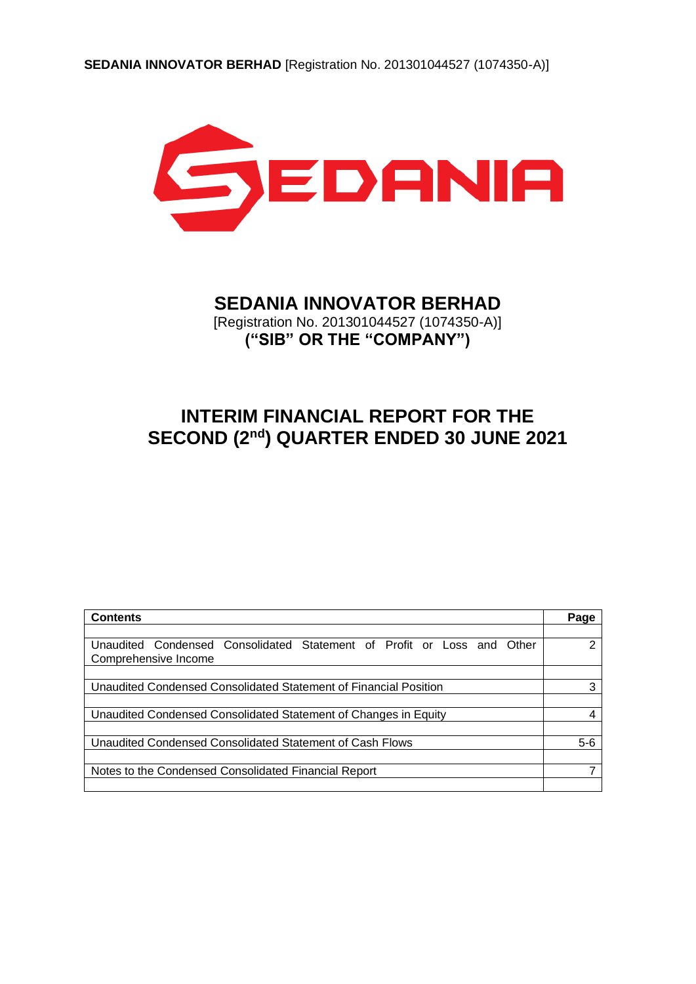

# **SEDANIA INNOVATOR BERHAD**

[Registration No. 201301044527 (1074350-A)] **("SIB" OR THE "COMPANY")**

# **INTERIM FINANCIAL REPORT FOR THE SECOND (2 nd) QUARTER ENDED 30 JUNE 2021**

| <b>Contents</b>                                                        | Page  |
|------------------------------------------------------------------------|-------|
|                                                                        |       |
| Unaudited Condensed Consolidated Statement of Profit or Loss and Other | າ     |
| Comprehensive Income                                                   |       |
|                                                                        |       |
| Unaudited Condensed Consolidated Statement of Financial Position       | 3     |
|                                                                        |       |
| Unaudited Condensed Consolidated Statement of Changes in Equity        |       |
|                                                                        |       |
| Unaudited Condensed Consolidated Statement of Cash Flows               | $5-6$ |
|                                                                        |       |
| Notes to the Condensed Consolidated Financial Report                   |       |
|                                                                        |       |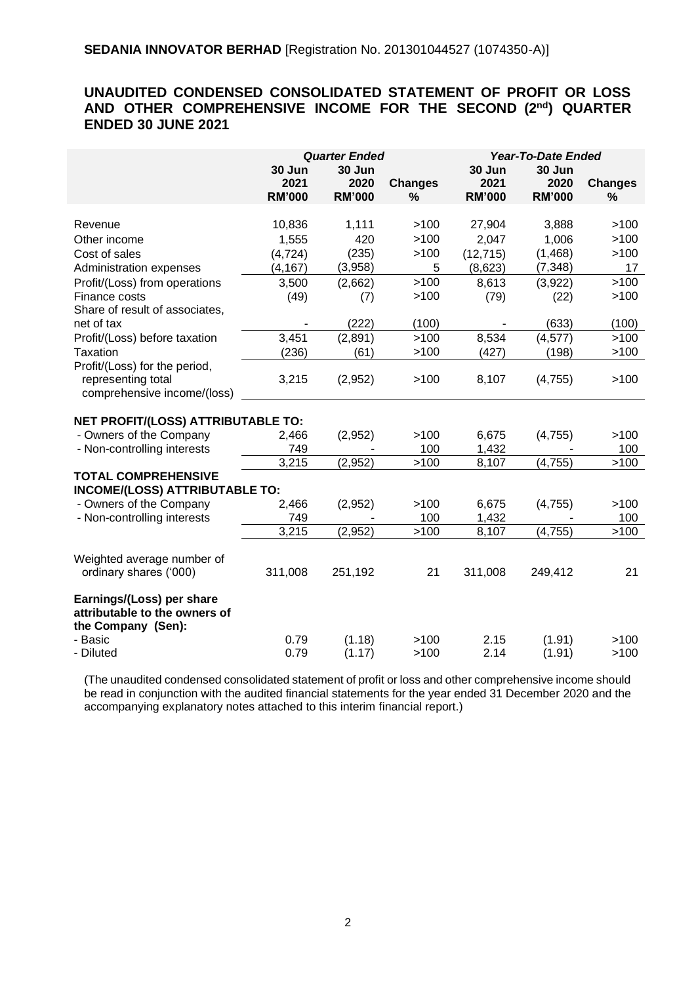# **UNAUDITED CONDENSED CONSOLIDATED STATEMENT OF PROFIT OR LOSS AND OTHER COMPREHENSIVE INCOME FOR THE SECOND (2 nd) QUARTER ENDED 30 JUNE 2021**

|                                       | <b>Quarter Ended</b> |               |                | <b>Year-To-Date Ended</b> |               |                |
|---------------------------------------|----------------------|---------------|----------------|---------------------------|---------------|----------------|
|                                       | 30 Jun<br>30 Jun     |               | 30 Jun         | 30 Jun                    |               |                |
|                                       | 2021                 | 2020          | <b>Changes</b> | 2021                      | 2020          | <b>Changes</b> |
|                                       | <b>RM'000</b>        | <b>RM'000</b> | $\%$           | <b>RM'000</b>             | <b>RM'000</b> | %              |
| Revenue                               | 10,836               | 1,111         | >100           | 27,904                    | 3,888         | >100           |
| Other income                          | 1,555                | 420           | >100           | 2,047                     | 1,006         | >100           |
| Cost of sales                         | (4, 724)             | (235)         | >100           | (12, 715)                 | (1,468)       | >100           |
| Administration expenses               | (4, 167)             | (3,958)       | 5              | (8,623)                   | (7, 348)      | 17             |
| Profit/(Loss) from operations         | 3,500                | (2,662)       | >100           | 8,613                     | (3,922)       | >100           |
| Finance costs                         | (49)                 | (7)           | >100           | (79)                      | (22)          | >100           |
| Share of result of associates,        |                      |               |                |                           |               |                |
| net of tax                            |                      | (222)         | (100)          |                           | (633)         | (100)          |
| Profit/(Loss) before taxation         | 3,451                | (2,891)       | >100           | 8,534                     | (4, 577)      | >100           |
| Taxation                              | (236)                | (61)          | >100           | (427)                     | (198)         | >100           |
| Profit/(Loss) for the period,         |                      |               |                |                           |               |                |
| representing total                    | 3,215                | (2,952)       | >100           | 8,107                     | (4,755)       | >100           |
| comprehensive income/(loss)           |                      |               |                |                           |               |                |
|                                       |                      |               |                |                           |               |                |
| NET PROFIT/(LOSS) ATTRIBUTABLE TO:    |                      |               |                |                           |               |                |
| - Owners of the Company               | 2,466                | (2,952)       | >100           | 6,675                     | (4,755)       | >100           |
| - Non-controlling interests           | 749                  |               | 100            | 1,432                     |               | 100            |
|                                       | 3,215                | (2,952)       | >100           | 8,107                     | (4, 755)      | >100           |
| <b>TOTAL COMPREHENSIVE</b>            |                      |               |                |                           |               |                |
| <b>INCOME/(LOSS) ATTRIBUTABLE TO:</b> |                      |               |                |                           |               |                |
| - Owners of the Company               | 2,466                | (2,952)       | >100           | 6,675                     | (4,755)       | >100           |
| - Non-controlling interests           | 749                  |               | 100            | 1,432                     |               | 100            |
|                                       | 3,215                | (2,952)       | >100           | 8,107                     | (4, 755)      | >100           |
| Weighted average number of            |                      |               |                |                           |               |                |
| ordinary shares ('000)                | 311,008              | 251,192       | 21             | 311,008                   | 249,412       | 21             |
|                                       |                      |               |                |                           |               |                |
| Earnings/(Loss) per share             |                      |               |                |                           |               |                |
| attributable to the owners of         |                      |               |                |                           |               |                |
| the Company (Sen):                    |                      |               |                |                           |               |                |
| - Basic                               | 0.79                 | (1.18)        | >100           | 2.15                      | (1.91)        | >100           |
| - Diluted                             | 0.79                 | (1.17)        | >100           | 2.14                      | (1.91)        | >100           |

(The unaudited condensed consolidated statement of profit or loss and other comprehensive income should be read in conjunction with the audited financial statements for the year ended 31 December 2020 and the accompanying explanatory notes attached to this interim financial report.)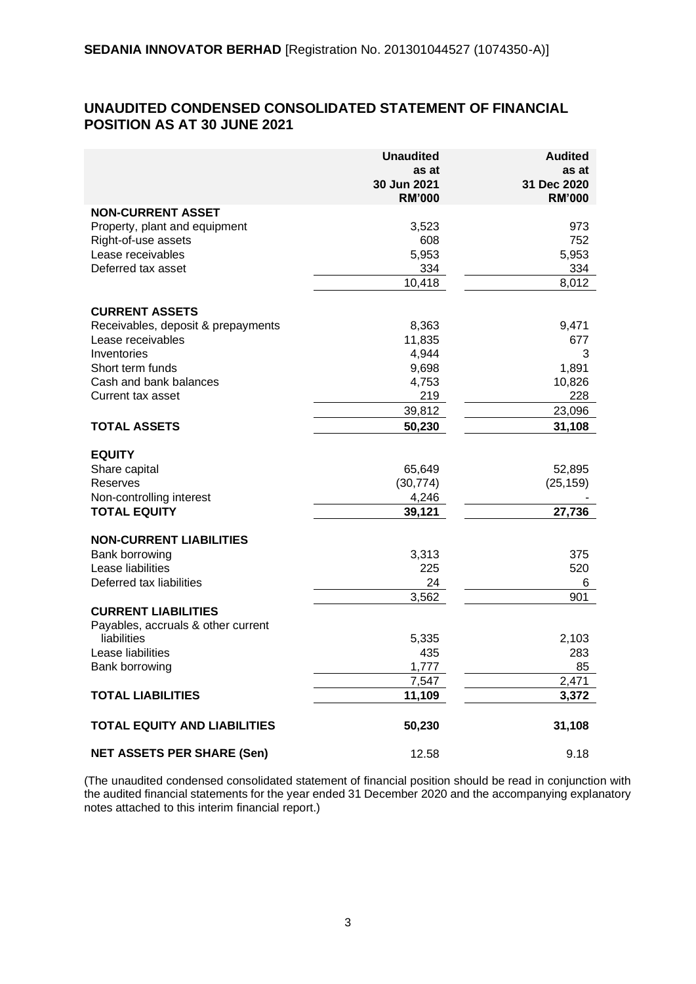#### **UNAUDITED CONDENSED CONSOLIDATED STATEMENT OF FINANCIAL POSITION AS AT 30 JUNE 2021**

|                                     | <b>Unaudited</b><br>as at<br>30 Jun 2021<br><b>RM'000</b> | <b>Audited</b><br>as at<br>31 Dec 2020<br><b>RM'000</b> |
|-------------------------------------|-----------------------------------------------------------|---------------------------------------------------------|
| <b>NON-CURRENT ASSET</b>            |                                                           |                                                         |
| Property, plant and equipment       | 3,523                                                     | 973                                                     |
| Right-of-use assets                 | 608                                                       | 752                                                     |
| Lease receivables                   | 5,953                                                     | 5,953                                                   |
| Deferred tax asset                  | 334                                                       | 334                                                     |
|                                     | 10,418                                                    | 8,012                                                   |
| <b>CURRENT ASSETS</b>               |                                                           |                                                         |
| Receivables, deposit & prepayments  | 8,363                                                     | 9,471                                                   |
| Lease receivables                   | 11,835                                                    | 677                                                     |
| Inventories                         | 4,944                                                     | 3                                                       |
| Short term funds                    | 9,698                                                     | 1,891                                                   |
| Cash and bank balances              | 4,753                                                     | 10,826                                                  |
| Current tax asset                   | 219                                                       | 228                                                     |
|                                     | 39,812                                                    | 23,096                                                  |
| <b>TOTAL ASSETS</b>                 | 50,230                                                    | 31,108                                                  |
| <b>EQUITY</b>                       |                                                           |                                                         |
| Share capital                       | 65,649                                                    | 52,895                                                  |
| Reserves                            | (30, 774)                                                 | (25, 159)                                               |
| Non-controlling interest            | 4,246                                                     |                                                         |
| <b>TOTAL EQUITY</b>                 | 39,121                                                    | 27,736                                                  |
|                                     |                                                           |                                                         |
| <b>NON-CURRENT LIABILITIES</b>      |                                                           |                                                         |
| Bank borrowing                      | 3,313                                                     | 375                                                     |
| Lease liabilities                   | 225                                                       | 520                                                     |
| Deferred tax liabilities            | 24                                                        | 6                                                       |
| <b>CURRENT LIABILITIES</b>          | 3,562                                                     | 901                                                     |
| Payables, accruals & other current  |                                                           |                                                         |
| liabilities                         | 5,335                                                     | 2,103                                                   |
| Lease liabilities                   | 435                                                       | 283                                                     |
| Bank borrowing                      | 1,777                                                     | 85                                                      |
|                                     | 7,547                                                     | 2,471                                                   |
| <b>TOTAL LIABILITIES</b>            | 11,109                                                    | 3,372                                                   |
| <b>TOTAL EQUITY AND LIABILITIES</b> | 50,230                                                    | 31,108                                                  |
| <b>NET ASSETS PER SHARE (Sen)</b>   | 12.58                                                     | 9.18                                                    |

(The unaudited condensed consolidated statement of financial position should be read in conjunction with the audited financial statements for the year ended 31 December 2020 and the accompanying explanatory notes attached to this interim financial report.)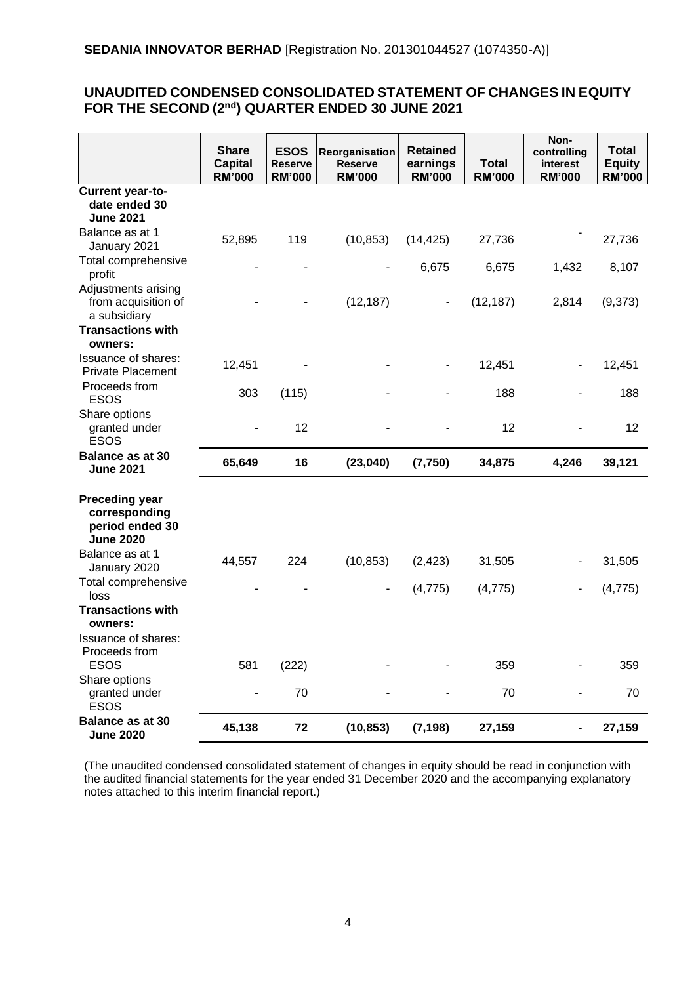#### **UNAUDITED CONDENSED CONSOLIDATED STATEMENT OF CHANGES IN EQUITY FOR THE SECOND (2 nd) QUARTER ENDED 30 JUNE 2021**

|                                                                               | <b>Share</b><br><b>Capital</b><br><b>RM'000</b> | <b>ESOS</b><br><b>Reserve</b><br><b>RM'000</b> | Reorganisation<br><b>Reserve</b><br><b>RM'000</b> | <b>Retained</b><br>earnings<br><b>RM'000</b> | <b>Total</b><br><b>RM'000</b> | Non-<br>controlling<br>interest<br><b>RM'000</b> | <b>Total</b><br><b>Equity</b><br><b>RM'000</b> |
|-------------------------------------------------------------------------------|-------------------------------------------------|------------------------------------------------|---------------------------------------------------|----------------------------------------------|-------------------------------|--------------------------------------------------|------------------------------------------------|
| Current year-to-<br>date ended 30<br><b>June 2021</b>                         |                                                 |                                                |                                                   |                                              |                               |                                                  |                                                |
| Balance as at 1<br>January 2021                                               | 52,895                                          | 119                                            | (10, 853)                                         | (14, 425)                                    | 27,736                        |                                                  | 27,736                                         |
| Total comprehensive<br>profit                                                 |                                                 |                                                |                                                   | 6,675                                        | 6,675                         | 1,432                                            | 8,107                                          |
| Adjustments arising<br>from acquisition of<br>a subsidiary                    |                                                 |                                                | (12, 187)                                         | ۰                                            | (12, 187)                     | 2,814                                            | (9,373)                                        |
| <b>Transactions with</b><br>owners:                                           |                                                 |                                                |                                                   |                                              |                               |                                                  |                                                |
| <b>Issuance of shares:</b><br><b>Private Placement</b>                        | 12,451                                          |                                                |                                                   |                                              | 12,451                        |                                                  | 12,451                                         |
| Proceeds from<br><b>ESOS</b>                                                  | 303                                             | (115)                                          |                                                   |                                              | 188                           |                                                  | 188                                            |
| Share options<br>granted under<br><b>ESOS</b>                                 |                                                 | 12                                             |                                                   |                                              | 12                            |                                                  | 12                                             |
| Balance as at 30<br><b>June 2021</b>                                          | 65,649                                          | 16                                             | (23,040)                                          | (7, 750)                                     | 34,875                        | 4,246                                            | 39,121                                         |
| <b>Preceding year</b><br>corresponding<br>period ended 30<br><b>June 2020</b> |                                                 |                                                |                                                   |                                              |                               |                                                  |                                                |
| Balance as at 1<br>January 2020                                               | 44,557                                          | 224                                            | (10, 853)                                         | (2, 423)                                     | 31,505                        |                                                  | 31,505                                         |
| Total comprehensive<br>loss                                                   |                                                 |                                                |                                                   | (4, 775)                                     | (4, 775)                      |                                                  | (4, 775)                                       |
| <b>Transactions with</b><br>owners:                                           |                                                 |                                                |                                                   |                                              |                               |                                                  |                                                |
| <b>Issuance of shares:</b><br>Proceeds from<br><b>ESOS</b>                    | 581                                             | (222)                                          |                                                   |                                              | 359                           |                                                  | 359                                            |
| Share options<br>granted under<br><b>ESOS</b>                                 |                                                 | 70                                             |                                                   |                                              | 70                            |                                                  | 70                                             |
| Balance as at 30<br><b>June 2020</b>                                          | 45,138                                          | 72                                             | (10, 853)                                         | (7, 198)                                     | 27,159                        |                                                  | 27,159                                         |

(The unaudited condensed consolidated statement of changes in equity should be read in conjunction with the audited financial statements for the year ended 31 December 2020 and the accompanying explanatory notes attached to this interim financial report.)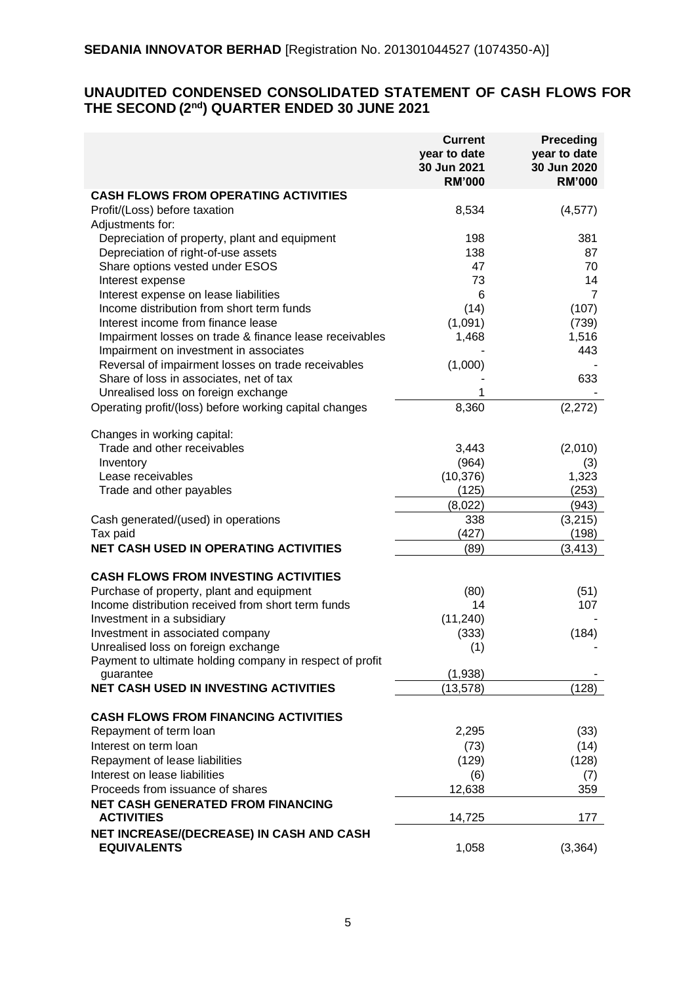# **UNAUDITED CONDENSED CONSOLIDATED STATEMENT OF CASH FLOWS FOR THE SECOND (2 nd) QUARTER ENDED 30 JUNE 2021**

|                                                                                                 | <b>Current</b><br>year to date<br>30 Jun 2021<br><b>RM'000</b> | <b>Preceding</b><br>year to date<br>30 Jun 2020<br><b>RM'000</b> |
|-------------------------------------------------------------------------------------------------|----------------------------------------------------------------|------------------------------------------------------------------|
| <b>CASH FLOWS FROM OPERATING ACTIVITIES</b>                                                     |                                                                |                                                                  |
| Profit/(Loss) before taxation<br>Adjustments for:                                               | 8,534                                                          | (4, 577)                                                         |
| Depreciation of property, plant and equipment                                                   | 198                                                            | 381                                                              |
| Depreciation of right-of-use assets                                                             | 138                                                            | 87                                                               |
| Share options vested under ESOS                                                                 | 47                                                             | 70                                                               |
| Interest expense                                                                                | 73                                                             | 14                                                               |
| Interest expense on lease liabilities                                                           | 6                                                              | 7                                                                |
| Income distribution from short term funds                                                       | (14)                                                           | (107)                                                            |
| Interest income from finance lease                                                              | (1,091)                                                        | (739)                                                            |
| Impairment losses on trade & finance lease receivables                                          | 1,468                                                          | 1,516                                                            |
| Impairment on investment in associates                                                          |                                                                | 443                                                              |
| Reversal of impairment losses on trade receivables                                              | (1,000)                                                        |                                                                  |
| Share of loss in associates, net of tax                                                         |                                                                | 633                                                              |
| Unrealised loss on foreign exchange<br>Operating profit/(loss) before working capital changes   | 8,360                                                          | (2,272)                                                          |
|                                                                                                 |                                                                |                                                                  |
| Changes in working capital:                                                                     |                                                                |                                                                  |
| Trade and other receivables                                                                     | 3,443                                                          | (2,010)                                                          |
| Inventory                                                                                       | (964)                                                          | (3)                                                              |
| Lease receivables                                                                               | (10, 376)                                                      | 1,323                                                            |
| Trade and other payables                                                                        | (125)                                                          | (253)                                                            |
|                                                                                                 | (8,022)                                                        | (943)                                                            |
| Cash generated/(used) in operations<br>Tax paid                                                 | 338<br>(427)                                                   | (3,215)<br>(198)                                                 |
| <b>NET CASH USED IN OPERATING ACTIVITIES</b>                                                    | (89)                                                           |                                                                  |
|                                                                                                 |                                                                | (3, 413)                                                         |
| <b>CASH FLOWS FROM INVESTING ACTIVITIES</b>                                                     |                                                                |                                                                  |
| Purchase of property, plant and equipment                                                       | (80)                                                           | (51)                                                             |
| Income distribution received from short term funds                                              | 14                                                             | 107                                                              |
| Investment in a subsidiary                                                                      | (11, 240)                                                      |                                                                  |
| Investment in associated company                                                                | (333)                                                          | (184)                                                            |
| Unrealised loss on foreign exchange<br>Payment to ultimate holding company in respect of profit | (1)                                                            |                                                                  |
| guarantee                                                                                       | (1,938)                                                        |                                                                  |
| <b>NET CASH USED IN INVESTING ACTIVITIES</b>                                                    | (13, 578)                                                      | (128)                                                            |
| <b>CASH FLOWS FROM FINANCING ACTIVITIES</b>                                                     |                                                                |                                                                  |
| Repayment of term loan                                                                          | 2,295                                                          | (33)                                                             |
| Interest on term loan                                                                           | (73)                                                           | (14)                                                             |
| Repayment of lease liabilities                                                                  | (129)                                                          | (128)                                                            |
| Interest on lease liabilities                                                                   | (6)                                                            | (7)                                                              |
| Proceeds from issuance of shares                                                                | 12,638                                                         | 359                                                              |
| <b>NET CASH GENERATED FROM FINANCING</b>                                                        |                                                                |                                                                  |
| <b>ACTIVITIES</b>                                                                               | 14,725                                                         | 177                                                              |
| NET INCREASE/(DECREASE) IN CASH AND CASH                                                        |                                                                |                                                                  |
| <b>EQUIVALENTS</b>                                                                              | 1,058                                                          | (3, 364)                                                         |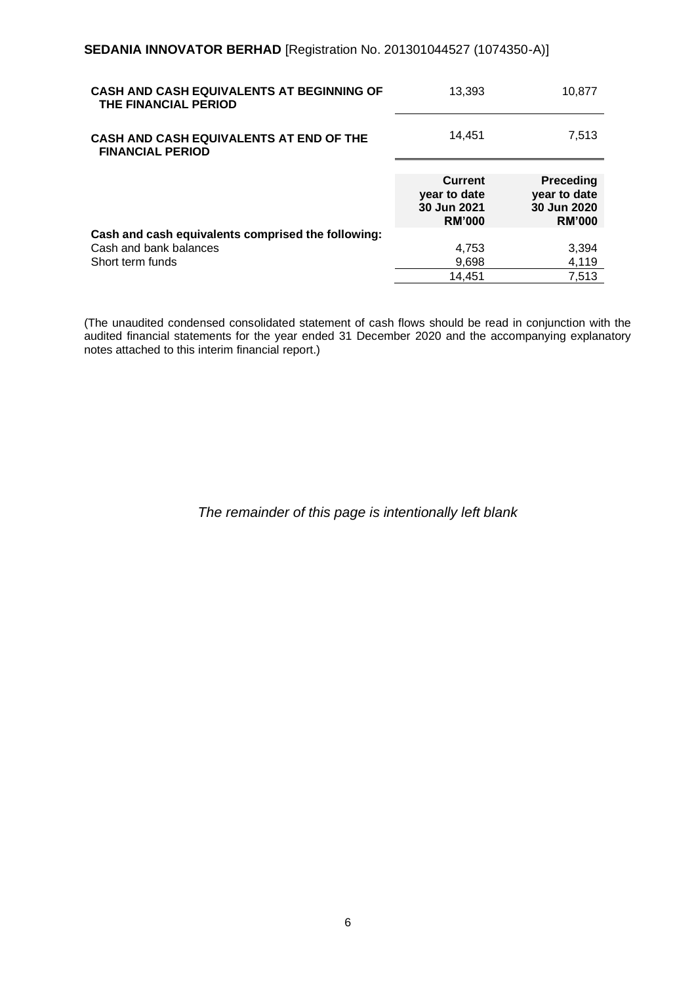| CASH AND CASH EQUIVALENTS AT BEGINNING OF<br>THE FINANCIAL PERIOD  | 13,393                                                         | 10.877                                                           |
|--------------------------------------------------------------------|----------------------------------------------------------------|------------------------------------------------------------------|
| CASH AND CASH EQUIVALENTS AT END OF THE<br><b>FINANCIAL PERIOD</b> | 14,451                                                         | 7,513                                                            |
|                                                                    | <b>Current</b><br>year to date<br>30 Jun 2021<br><b>RM'000</b> | <b>Preceding</b><br>year to date<br>30 Jun 2020<br><b>RM'000</b> |
| Cash and cash equivalents comprised the following:                 |                                                                |                                                                  |
| Cash and bank balances                                             | 4,753                                                          | 3,394                                                            |
| Short term funds                                                   | 9,698                                                          | 4.119                                                            |
|                                                                    | 14,451                                                         | 7.513                                                            |

(The unaudited condensed consolidated statement of cash flows should be read in conjunction with the audited financial statements for the year ended 31 December 2020 and the accompanying explanatory notes attached to this interim financial report.)

# *The remainder of this page is intentionally left blank*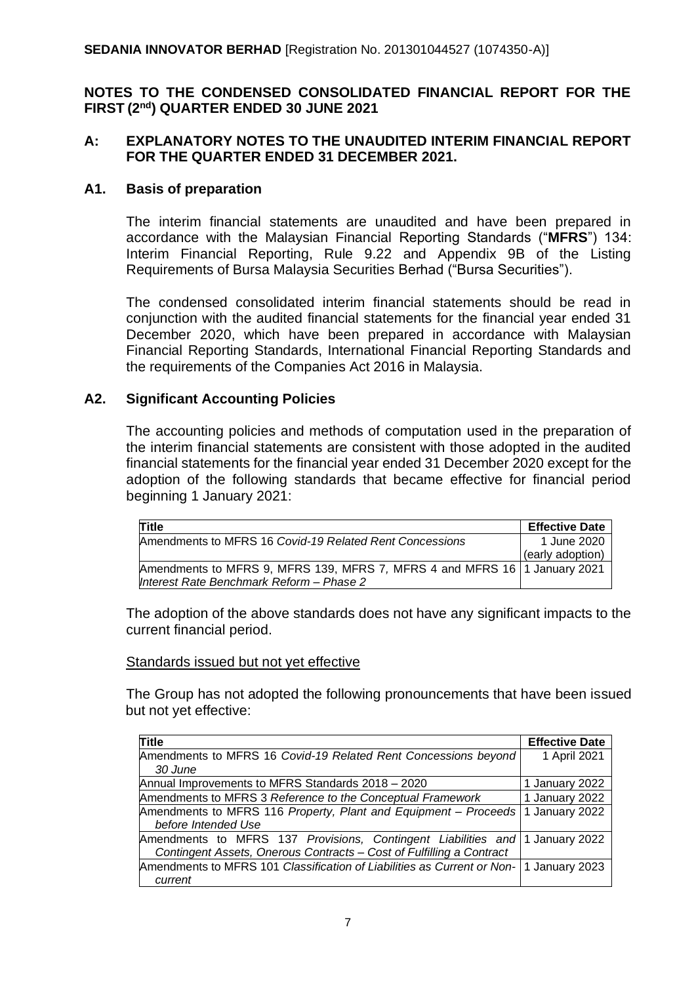# **NOTES TO THE CONDENSED CONSOLIDATED FINANCIAL REPORT FOR THE FIRST (2 nd) QUARTER ENDED 30 JUNE 2021**

# **A: EXPLANATORY NOTES TO THE UNAUDITED INTERIM FINANCIAL REPORT FOR THE QUARTER ENDED 31 DECEMBER 2021.**

# **A1. Basis of preparation**

The interim financial statements are unaudited and have been prepared in accordance with the Malaysian Financial Reporting Standards ("**MFRS**") 134: Interim Financial Reporting, Rule 9.22 and Appendix 9B of the Listing Requirements of Bursa Malaysia Securities Berhad ("Bursa Securities").

The condensed consolidated interim financial statements should be read in conjunction with the audited financial statements for the financial year ended 31 December 2020, which have been prepared in accordance with Malaysian Financial Reporting Standards, International Financial Reporting Standards and the requirements of the Companies Act 2016 in Malaysia.

# **A2. Significant Accounting Policies**

The accounting policies and methods of computation used in the preparation of the interim financial statements are consistent with those adopted in the audited financial statements for the financial year ended 31 December 2020 except for the adoption of the following standards that became effective for financial period beginning 1 January 2021:

| <b>Title</b>                                                                | <b>Effective Date</b> |
|-----------------------------------------------------------------------------|-----------------------|
| Amendments to MFRS 16 Covid-19 Related Rent Concessions                     | 1 June 2020           |
|                                                                             | (early adoption)      |
| Amendments to MFRS 9, MFRS 139, MFRS 7, MFRS 4 and MFRS 16   1 January 2021 |                       |
| Interest Rate Benchmark Reform - Phase 2                                    |                       |

The adoption of the above standards does not have any significant impacts to the current financial period.

# Standards issued but not yet effective

The Group has not adopted the following pronouncements that have been issued but not yet effective:

| Title                                                                                  | <b>Effective Date</b> |
|----------------------------------------------------------------------------------------|-----------------------|
| Amendments to MFRS 16 Covid-19 Related Rent Concessions beyond                         | 1 April 2021          |
| 30 June                                                                                |                       |
| Annual Improvements to MFRS Standards 2018 - 2020                                      | 1 January 2022        |
| Amendments to MFRS 3 Reference to the Conceptual Framework                             | 1 January 2022        |
| Amendments to MFRS 116 Property, Plant and Equipment – Proceeds 1 January 2022         |                       |
| before Intended Use                                                                    |                       |
| Amendments to MFRS 137 Provisions, Contingent Liabilities and 1 January 2022           |                       |
| Contingent Assets, Onerous Contracts - Cost of Fulfilling a Contract                   |                       |
| Amendments to MFRS 101 Classification of Liabilities as Current or Non- 1 January 2023 |                       |
| current                                                                                |                       |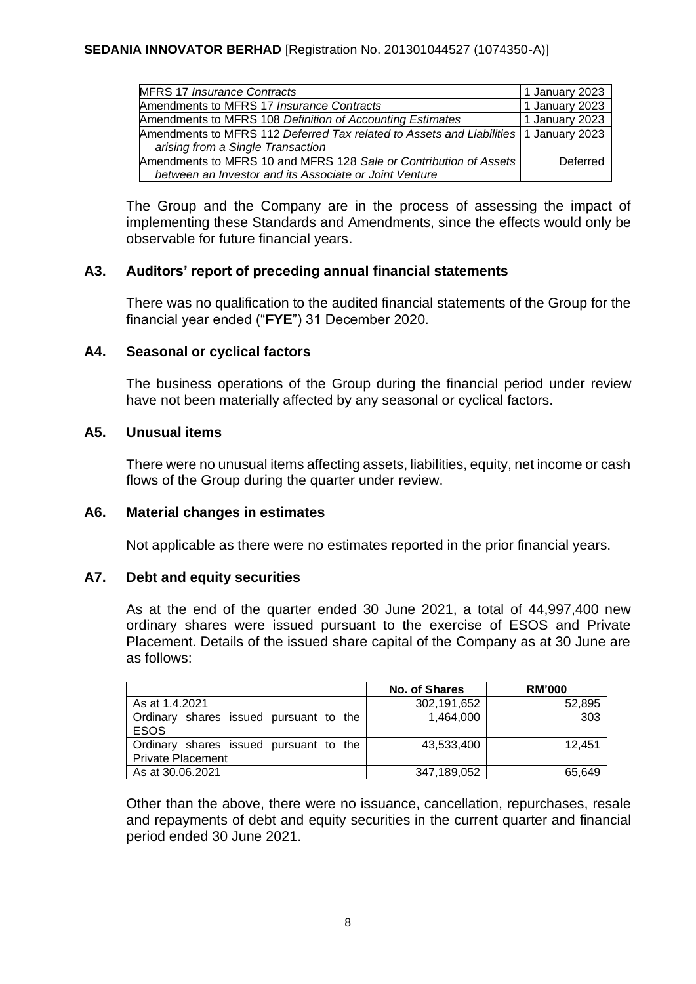| <b>MFRS 17 Insurance Contracts</b>                                                   | 1 January 2023 |
|--------------------------------------------------------------------------------------|----------------|
| Amendments to MFRS 17 Insurance Contracts                                            | 1 January 2023 |
| Amendments to MFRS 108 Definition of Accounting Estimates                            | 1 January 2023 |
| Amendments to MFRS 112 Deferred Tax related to Assets and Liabilities 1 January 2023 |                |
| arising from a Single Transaction                                                    |                |
| Amendments to MFRS 10 and MFRS 128 Sale or Contribution of Assets                    | Deferred       |
| between an Investor and its Associate or Joint Venture                               |                |

The Group and the Company are in the process of assessing the impact of implementing these Standards and Amendments, since the effects would only be observable for future financial years.

# **A3. Auditors' report of preceding annual financial statements**

There was no qualification to the audited financial statements of the Group for the financial year ended ("**FYE**") 31 December 2020.

# **A4. Seasonal or cyclical factors**

The business operations of the Group during the financial period under review have not been materially affected by any seasonal or cyclical factors.

# **A5. Unusual items**

There were no unusual items affecting assets, liabilities, equity, net income or cash flows of the Group during the quarter under review.

#### **A6. Material changes in estimates**

Not applicable as there were no estimates reported in the prior financial years.

#### **A7. Debt and equity securities**

As at the end of the quarter ended 30 June 2021, a total of 44,997,400 new ordinary shares were issued pursuant to the exercise of ESOS and Private Placement. Details of the issued share capital of the Company as at 30 June are as follows:

|                                                                    | <b>No. of Shares</b> | <b>RM'000</b> |
|--------------------------------------------------------------------|----------------------|---------------|
| As at 1.4.2021                                                     | 302,191,652          | 52,895        |
| Ordinary shares issued pursuant to the<br><b>ESOS</b>              | 1,464,000            | 303           |
| Ordinary shares issued pursuant to the<br><b>Private Placement</b> | 43,533,400           | 12.451        |
| As at 30.06.2021                                                   | 347,189,052          | 65,649        |

Other than the above, there were no issuance, cancellation, repurchases, resale and repayments of debt and equity securities in the current quarter and financial period ended 30 June 2021.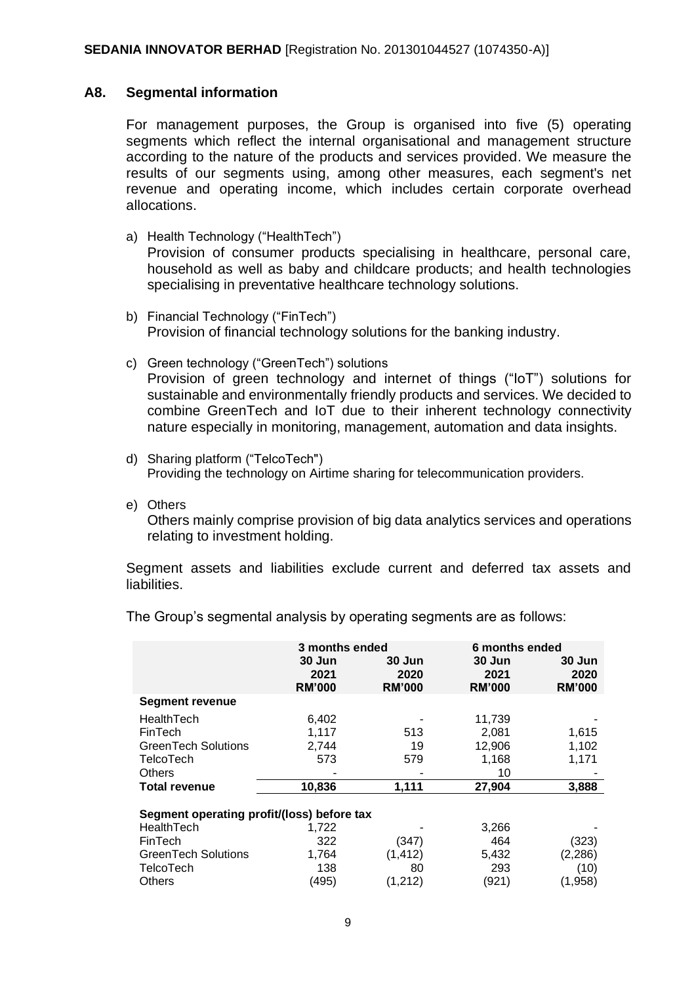#### **A8. Segmental information**

For management purposes, the Group is organised into five (5) operating segments which reflect the internal organisational and management structure according to the nature of the products and services provided. We measure the results of our segments using, among other measures, each segment's net revenue and operating income, which includes certain corporate overhead allocations.

- a) Health Technology ("HealthTech") Provision of consumer products specialising in healthcare, personal care, household as well as baby and childcare products; and health technologies specialising in preventative healthcare technology solutions.
- b) Financial Technology ("FinTech") Provision of financial technology solutions for the banking industry.
- c) Green technology ("GreenTech") solutions Provision of green technology and internet of things ("IoT") solutions for sustainable and environmentally friendly products and services. We decided to combine GreenTech and IoT due to their inherent technology connectivity nature especially in monitoring, management, automation and data insights.
- d) Sharing platform ("TelcoTech") Providing the technology on Airtime sharing for telecommunication providers.
- e) Others

Others mainly comprise provision of big data analytics services and operations relating to investment holding.

Segment assets and liabilities exclude current and deferred tax assets and liabilities.

|                                            | 3 months ended<br>30 Jun<br>2021<br><b>RM'000</b> | 30 Jun<br>2020<br><b>RM'000</b> | 6 months ended<br>30 Jun<br>2021<br><b>RM'000</b> | 30 Jun<br>2020<br><b>RM'000</b> |  |  |
|--------------------------------------------|---------------------------------------------------|---------------------------------|---------------------------------------------------|---------------------------------|--|--|
| <b>Segment revenue</b>                     |                                                   |                                 |                                                   |                                 |  |  |
| HealthTech                                 | 6,402                                             |                                 | 11,739                                            |                                 |  |  |
| FinTech                                    | 1.117                                             | 513                             | 2.081                                             | 1,615                           |  |  |
| GreenTech Solutions                        | 2,744                                             | 19                              | 12,906                                            | 1,102                           |  |  |
| <b>TelcoTech</b>                           | 573                                               | 579                             | 1,168                                             | 1,171                           |  |  |
| <b>Others</b>                              |                                                   |                                 | 10                                                |                                 |  |  |
| <b>Total revenue</b>                       | 10,836                                            | 1,111                           | 27,904                                            | 3,888                           |  |  |
| Segment operating profit/(loss) before tax |                                                   |                                 |                                                   |                                 |  |  |
| HealthTech                                 | 1,722                                             |                                 | 3,266                                             |                                 |  |  |
| FinTech                                    | 322                                               | (347)                           | 464                                               | (323)                           |  |  |
| GreenTech Solutions                        | 1,764                                             | (1, 412)                        | 5,432                                             | (2, 286)                        |  |  |
| TelcoTech                                  | 138                                               | 80                              | 293                                               | (10)                            |  |  |
| Others                                     | (495)                                             | (1,212)                         | (921)                                             | (1,958)                         |  |  |

The Group's segmental analysis by operating segments are as follows: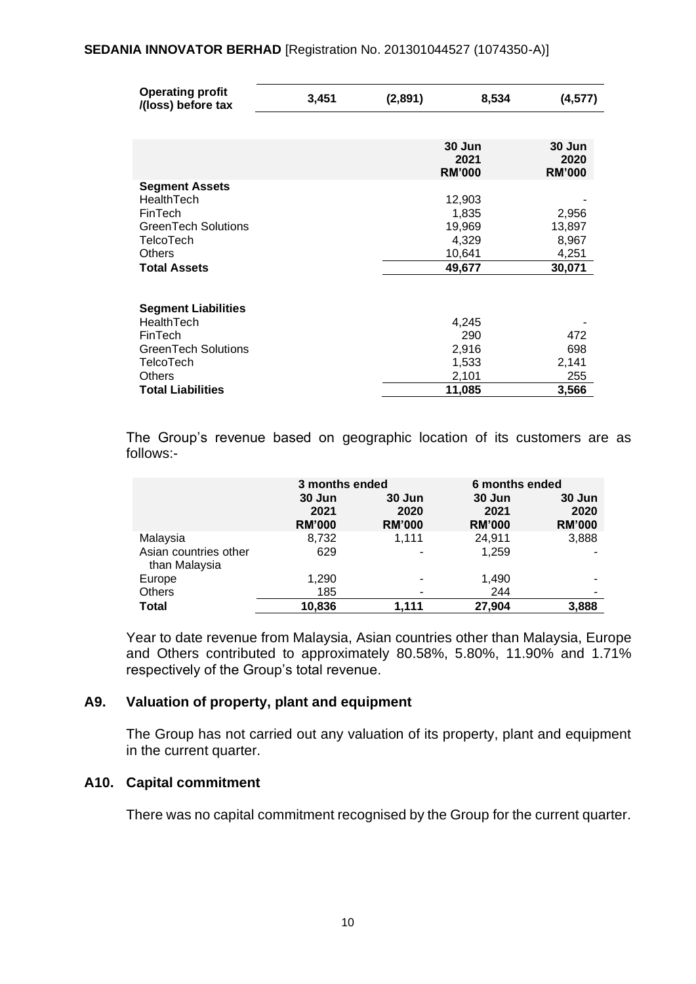| <b>Operating profit</b><br>/(loss) before tax | 3,451 | (2,891) | 8,534                           | (4, 577)                        |
|-----------------------------------------------|-------|---------|---------------------------------|---------------------------------|
|                                               |       |         |                                 |                                 |
|                                               |       |         | 30 Jun<br>2021<br><b>RM'000</b> | 30 Jun<br>2020<br><b>RM'000</b> |
| <b>Segment Assets</b>                         |       |         |                                 |                                 |
| HealthTech                                    |       |         | 12,903                          |                                 |
| FinTech                                       |       |         | 1,835                           | 2,956                           |
| <b>GreenTech Solutions</b>                    |       |         | 19,969                          | 13,897                          |
| <b>TelcoTech</b>                              |       |         | 4,329                           | 8,967                           |
| <b>Others</b>                                 |       |         | 10,641                          | 4,251                           |
| <b>Total Assets</b>                           |       |         | 49,677                          | 30,071                          |
| <b>Segment Liabilities</b>                    |       |         |                                 |                                 |
| HealthTech                                    |       |         | 4,245                           |                                 |
| FinTech                                       |       |         | 290                             | 472                             |
| <b>GreenTech Solutions</b>                    |       |         | 2,916                           | 698                             |
| <b>TelcoTech</b>                              |       |         | 1,533                           | 2,141                           |
| <b>Others</b>                                 |       |         | 2,101                           | 255                             |
| <b>Total Liabilities</b>                      |       |         | 11,085                          | 3,566                           |

The Group's revenue based on geographic location of its customers are as follows:-

|                                        | 3 months ended<br>30 Jun<br>30 Jun<br>2021<br>2020<br><b>RM'000</b><br><b>RM'000</b> |       | 30 Jun<br>2021<br><b>RM'000</b> | 6 months ended<br>30 Jun<br>2020<br><b>RM'000</b> |
|----------------------------------------|--------------------------------------------------------------------------------------|-------|---------------------------------|---------------------------------------------------|
| Malaysia                               | 8,732                                                                                | 1,111 | 24,911                          | 3,888                                             |
| Asian countries other<br>than Malaysia | 629                                                                                  |       | 1.259                           |                                                   |
| Europe                                 | 1,290                                                                                |       | 1,490                           |                                                   |
| <b>Others</b>                          | 185                                                                                  |       | 244                             | ۰                                                 |
| <b>Total</b>                           | 10,836                                                                               | 1.111 | 27,904                          | 3,888                                             |

Year to date revenue from Malaysia, Asian countries other than Malaysia, Europe and Others contributed to approximately 80.58%, 5.80%, 11.90% and 1.71% respectively of the Group's total revenue.

# **A9. Valuation of property, plant and equipment**

The Group has not carried out any valuation of its property, plant and equipment in the current quarter.

#### **A10. Capital commitment**

There was no capital commitment recognised by the Group for the current quarter.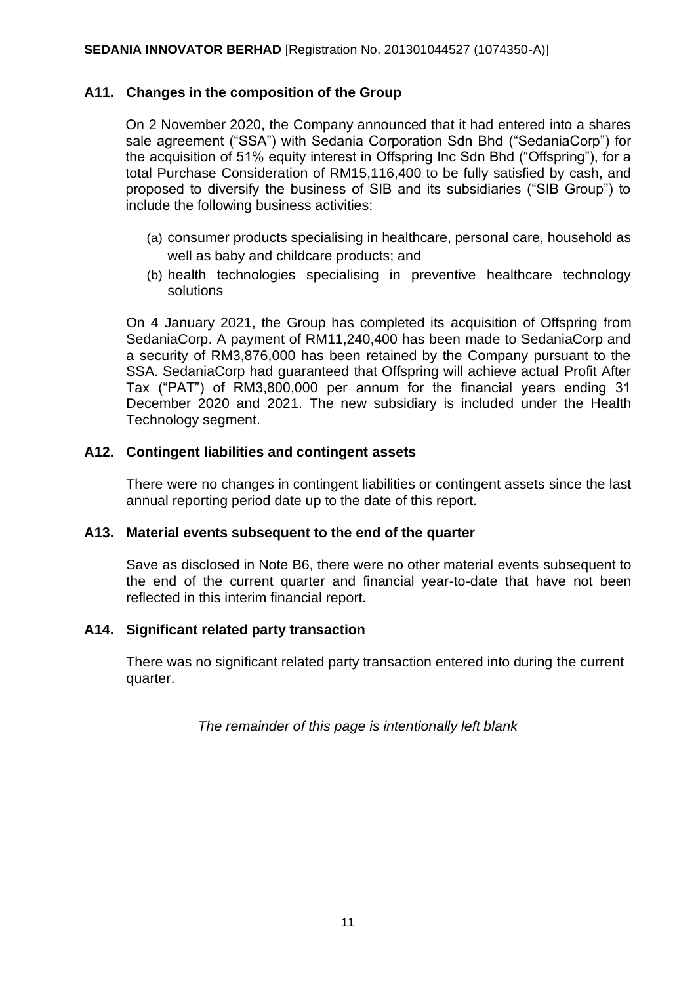# **A11. Changes in the composition of the Group**

On 2 November 2020, the Company announced that it had entered into a shares sale agreement ("SSA") with Sedania Corporation Sdn Bhd ("SedaniaCorp") for the acquisition of 51% equity interest in Offspring Inc Sdn Bhd ("Offspring"), for a total Purchase Consideration of RM15,116,400 to be fully satisfied by cash, and proposed to diversify the business of SIB and its subsidiaries ("SIB Group") to include the following business activities:

- (a) consumer products specialising in healthcare, personal care, household as well as baby and childcare products; and
- (b) health technologies specialising in preventive healthcare technology solutions

On 4 January 2021, the Group has completed its acquisition of Offspring from SedaniaCorp. A payment of RM11,240,400 has been made to SedaniaCorp and a security of RM3,876,000 has been retained by the Company pursuant to the SSA. SedaniaCorp had guaranteed that Offspring will achieve actual Profit After Tax ("PAT") of RM3,800,000 per annum for the financial years ending 31 December 2020 and 2021. The new subsidiary is included under the Health Technology segment.

# **A12. Contingent liabilities and contingent assets**

There were no changes in contingent liabilities or contingent assets since the last annual reporting period date up to the date of this report.

# **A13. Material events subsequent to the end of the quarter**

Save as disclosed in Note B6, there were no other material events subsequent to the end of the current quarter and financial year-to-date that have not been reflected in this interim financial report.

# **A14. Significant related party transaction**

There was no significant related party transaction entered into during the current quarter.

*The remainder of this page is intentionally left blank*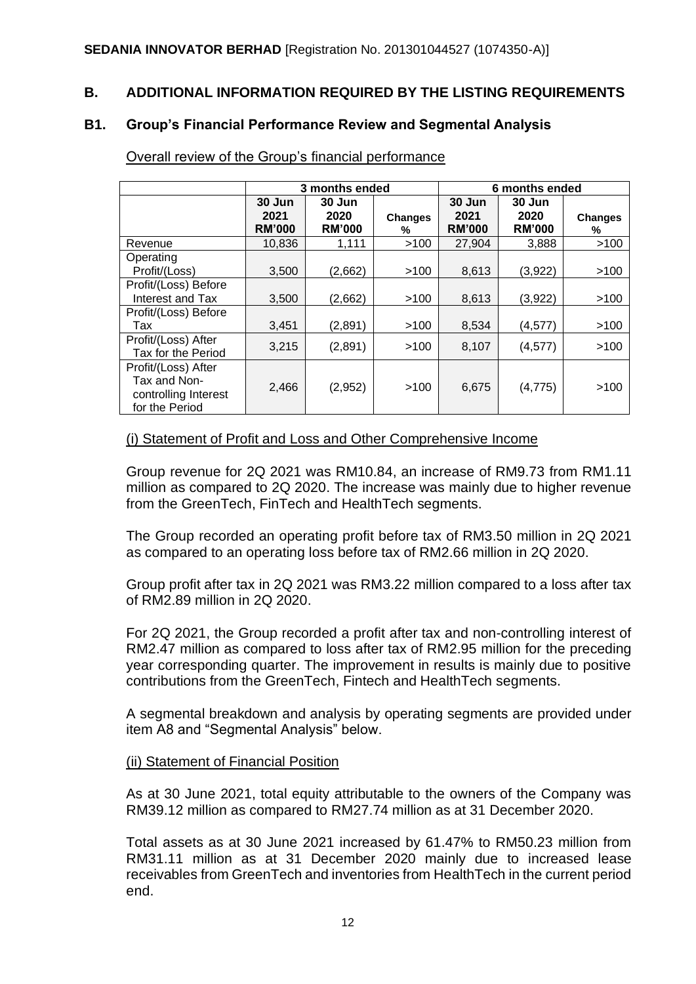# **B. ADDITIONAL INFORMATION REQUIRED BY THE LISTING REQUIREMENTS**

#### **B1. Group's Financial Performance Review and Segmental Analysis**

|                                                                               | 3 months ended                  |                                 |                     | 6 months ended                    |                                 |                     |
|-------------------------------------------------------------------------------|---------------------------------|---------------------------------|---------------------|-----------------------------------|---------------------------------|---------------------|
|                                                                               | 30 Jun<br>2021<br><b>RM'000</b> | 30 Jun<br>2020<br><b>RM'000</b> | <b>Changes</b><br>% | $30$ Jun<br>2021<br><b>RM'000</b> | 30 Jun<br>2020<br><b>RM'000</b> | <b>Changes</b><br>% |
| Revenue                                                                       | 10.836                          | 1,111                           | >100                | 27,904                            | 3,888                           | >100                |
| Operating<br>Profit/(Loss)                                                    | 3,500                           | (2,662)                         | >100                | 8,613                             | (3,922)                         | >100                |
| Profit/(Loss) Before<br>Interest and Tax                                      | 3,500                           | (2,662)                         | >100                | 8,613                             | (3,922)                         | >100                |
| Profit/(Loss) Before<br>Tax                                                   | 3,451                           | (2,891)                         | >100                | 8,534                             | (4,577)                         | >100                |
| Profit/(Loss) After<br>Tax for the Period                                     | 3,215                           | (2,891)                         | >100                | 8,107                             | (4, 577)                        | >100                |
| Profit/(Loss) After<br>Tax and Non-<br>controlling Interest<br>for the Period | 2,466                           | (2,952)                         | >100                | 6,675                             | (4,775)                         | >100                |

Overall review of the Group's financial performance

#### (i) Statement of Profit and Loss and Other Comprehensive Income

Group revenue for 2Q 2021 was RM10.84, an increase of RM9.73 from RM1.11 million as compared to 2Q 2020. The increase was mainly due to higher revenue from the GreenTech, FinTech and HealthTech segments.

The Group recorded an operating profit before tax of RM3.50 million in 2Q 2021 as compared to an operating loss before tax of RM2.66 million in 2Q 2020.

Group profit after tax in 2Q 2021 was RM3.22 million compared to a loss after tax of RM2.89 million in 2Q 2020.

For 2Q 2021, the Group recorded a profit after tax and non-controlling interest of RM2.47 million as compared to loss after tax of RM2.95 million for the preceding year corresponding quarter. The improvement in results is mainly due to positive contributions from the GreenTech, Fintech and HealthTech segments.

A segmental breakdown and analysis by operating segments are provided under item A8 and "Segmental Analysis" below.

#### (ii) Statement of Financial Position

As at 30 June 2021, total equity attributable to the owners of the Company was RM39.12 million as compared to RM27.74 million as at 31 December 2020.

Total assets as at 30 June 2021 increased by 61.47% to RM50.23 million from RM31.11 million as at 31 December 2020 mainly due to increased lease receivables from GreenTech and inventories from HealthTech in the current period end.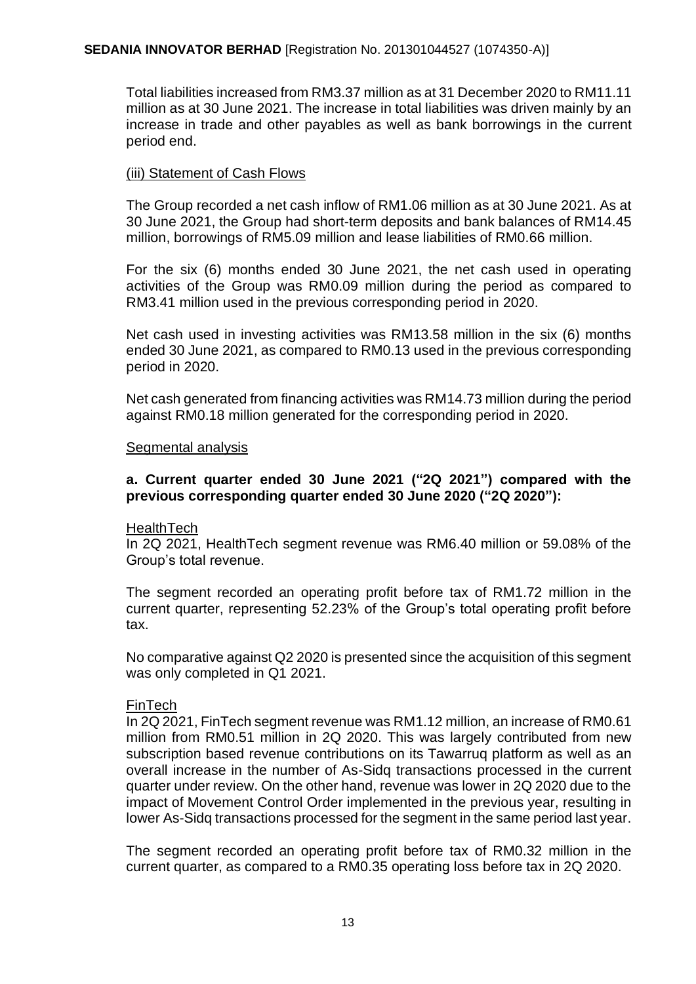Total liabilities increased from RM3.37 million as at 31 December 2020 to RM11.11 million as at 30 June 2021. The increase in total liabilities was driven mainly by an increase in trade and other payables as well as bank borrowings in the current period end.

# (iii) Statement of Cash Flows

The Group recorded a net cash inflow of RM1.06 million as at 30 June 2021. As at 30 June 2021, the Group had short-term deposits and bank balances of RM14.45 million, borrowings of RM5.09 million and lease liabilities of RM0.66 million.

For the six (6) months ended 30 June 2021, the net cash used in operating activities of the Group was RM0.09 million during the period as compared to RM3.41 million used in the previous corresponding period in 2020.

Net cash used in investing activities was RM13.58 million in the six (6) months ended 30 June 2021, as compared to RM0.13 used in the previous corresponding period in 2020.

Net cash generated from financing activities was RM14.73 million during the period against RM0.18 million generated for the corresponding period in 2020.

#### Segmental analysis

# **a. Current quarter ended 30 June 2021 ("2Q 2021") compared with the previous corresponding quarter ended 30 June 2020 ("2Q 2020"):**

# **HealthTech**

In 2Q 2021, HealthTech segment revenue was RM6.40 million or 59.08% of the Group's total revenue.

The segment recorded an operating profit before tax of RM1.72 million in the current quarter, representing 52.23% of the Group's total operating profit before tax.

No comparative against Q2 2020 is presented since the acquisition of this segment was only completed in Q1 2021.

# FinTech

In 2Q 2021, FinTech segment revenue was RM1.12 million, an increase of RM0.61 million from RM0.51 million in 2Q 2020. This was largely contributed from new subscription based revenue contributions on its Tawarruq platform as well as an overall increase in the number of As-Sidq transactions processed in the current quarter under review. On the other hand, revenue was lower in 2Q 2020 due to the impact of Movement Control Order implemented in the previous year, resulting in lower As-Sidq transactions processed for the segment in the same period last year.

The segment recorded an operating profit before tax of RM0.32 million in the current quarter, as compared to a RM0.35 operating loss before tax in 2Q 2020.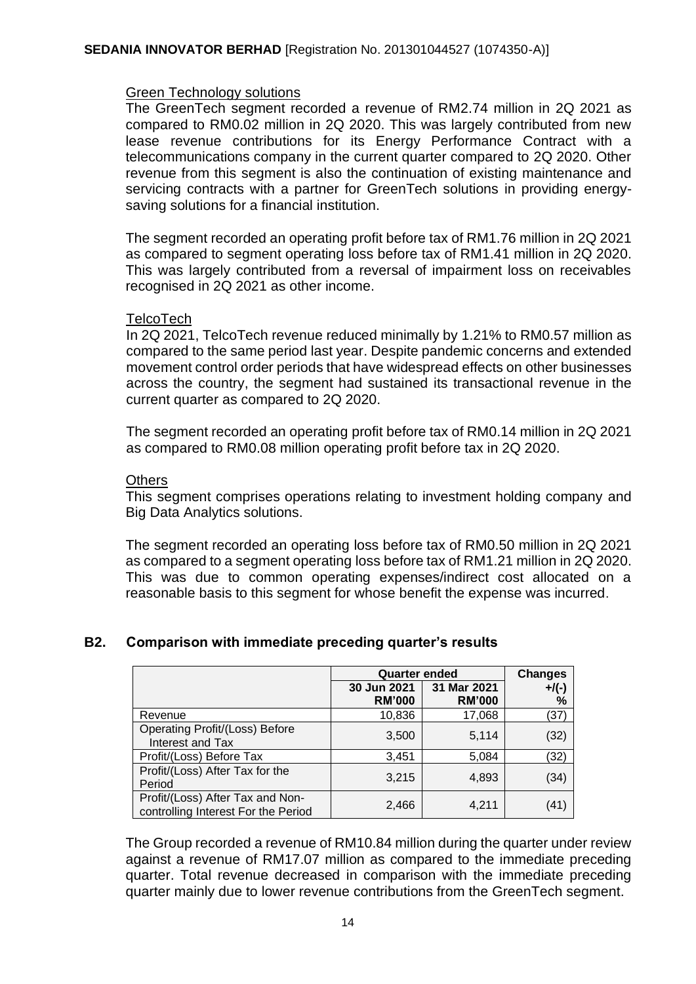#### Green Technology solutions

The GreenTech segment recorded a revenue of RM2.74 million in 2Q 2021 as compared to RM0.02 million in 2Q 2020. This was largely contributed from new lease revenue contributions for its Energy Performance Contract with a telecommunications company in the current quarter compared to 2Q 2020. Other revenue from this segment is also the continuation of existing maintenance and servicing contracts with a partner for GreenTech solutions in providing energysaving solutions for a financial institution.

The segment recorded an operating profit before tax of RM1.76 million in 2Q 2021 as compared to segment operating loss before tax of RM1.41 million in 2Q 2020. This was largely contributed from a reversal of impairment loss on receivables recognised in 2Q 2021 as other income.

#### **TelcoTech**

In 2Q 2021, TelcoTech revenue reduced minimally by 1.21% to RM0.57 million as compared to the same period last year. Despite pandemic concerns and extended movement control order periods that have widespread effects on other businesses across the country, the segment had sustained its transactional revenue in the current quarter as compared to 2Q 2020.

The segment recorded an operating profit before tax of RM0.14 million in 2Q 2021 as compared to RM0.08 million operating profit before tax in 2Q 2020.

#### **Others**

This segment comprises operations relating to investment holding company and Big Data Analytics solutions.

The segment recorded an operating loss before tax of RM0.50 million in 2Q 2021 as compared to a segment operating loss before tax of RM1.21 million in 2Q 2020. This was due to common operating expenses/indirect cost allocated on a reasonable basis to this segment for whose benefit the expense was incurred.

#### **Quarter ended Changes 30 Jun 2021 RM'000 31 Mar 2021 RM'000 +/(-) %** Revenue 10,836 17,068 | (37) Operating Profit/(Loss) Before  $\left| \frac{1}{100} \right|$  Proliv(Loss) Before  $\left| \frac{3,500}{5,114} \right|$  (32) Profit/(Loss) Before Tax  $\begin{array}{|c|c|c|c|c|c|c|c|} \hline \end{array}$  3,451  $\begin{array}{|c|c|c|c|c|c|} \hline \end{array}$  5,084  $\begin{array}{|c|c|c|c|c|} \hline \end{array}$  (32) Profit/(Loss) After Tax for the Period  $\left[2, 3, 215\right]$  4,893 (34) Profit/(Loss) After Tax and Non-Prontrolling Interest For the Period 2,466 4,211 (41)

# **B2. Comparison with immediate preceding quarter's results**

The Group recorded a revenue of RM10.84 million during the quarter under review against a revenue of RM17.07 million as compared to the immediate preceding quarter. Total revenue decreased in comparison with the immediate preceding quarter mainly due to lower revenue contributions from the GreenTech segment.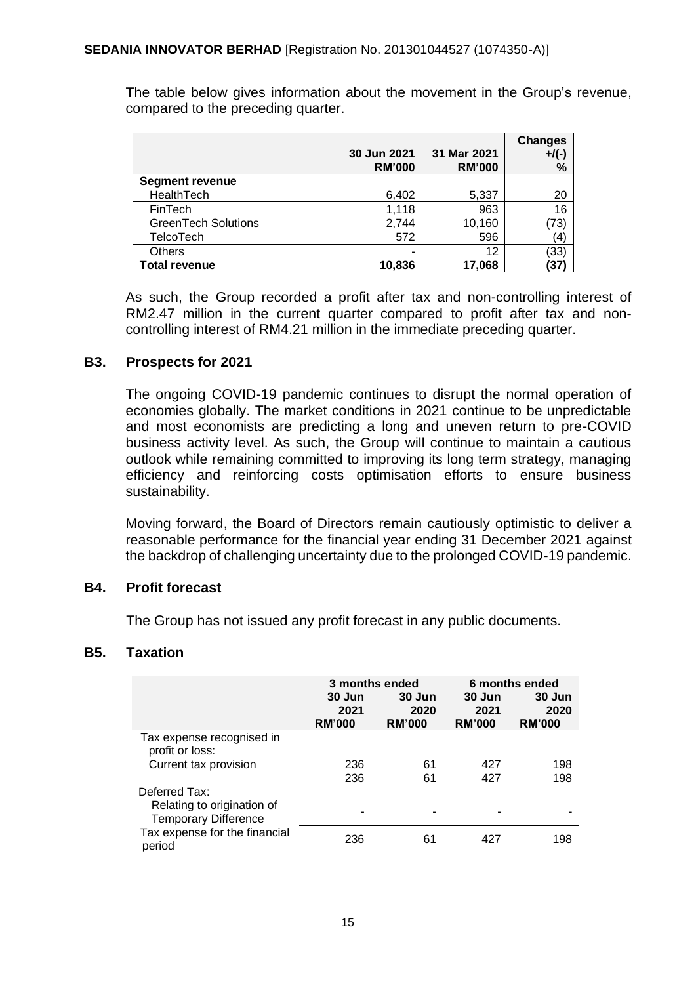The table below gives information about the movement in the Group's revenue, compared to the preceding quarter.

|                            | 30 Jun 2021<br><b>RM'000</b> | 31 Mar 2021<br><b>RM'000</b> | <b>Changes</b><br>$+$ /(-)<br>% |
|----------------------------|------------------------------|------------------------------|---------------------------------|
| <b>Segment revenue</b>     |                              |                              |                                 |
| HealthTech                 | 6,402                        | 5,337                        | 20                              |
| FinTech                    | 1,118                        | 963                          | 16                              |
| <b>GreenTech Solutions</b> | 2,744                        | 10,160                       | (73)                            |
| TelcoTech                  | 572                          | 596                          | 41                              |
| <b>Others</b>              | -                            | 12                           | (33)                            |
| <b>Total revenue</b>       | 10,836                       | 17,068                       | 37                              |

As such, the Group recorded a profit after tax and non-controlling interest of RM2.47 million in the current quarter compared to profit after tax and noncontrolling interest of RM4.21 million in the immediate preceding quarter.

# **B3. Prospects for 2021**

The ongoing COVID-19 pandemic continues to disrupt the normal operation of economies globally. The market conditions in 2021 continue to be unpredictable and most economists are predicting a long and uneven return to pre-COVID business activity level. As such, the Group will continue to maintain a cautious outlook while remaining committed to improving its long term strategy, managing efficiency and reinforcing costs optimisation efforts to ensure business sustainability.

Moving forward, the Board of Directors remain cautiously optimistic to deliver a reasonable performance for the financial year ending 31 December 2021 against the backdrop of challenging uncertainty due to the prolonged COVID-19 pandemic.

# **B4. Profit forecast**

The Group has not issued any profit forecast in any public documents.

#### **B5. Taxation**

|                                                           | 3 months ended<br>30 Jun<br>30 Jun<br>2020<br>2021<br><b>RM'000</b><br><b>RM'000</b> |    | 30 Jun<br>2021<br><b>RM'000</b> | 6 months ended<br>30 Jun<br>2020<br><b>RM'000</b> |
|-----------------------------------------------------------|--------------------------------------------------------------------------------------|----|---------------------------------|---------------------------------------------------|
| Tax expense recognised in<br>profit or loss:              |                                                                                      |    |                                 |                                                   |
| Current tax provision                                     | 236                                                                                  | 61 | 427                             | 198                                               |
|                                                           | 236                                                                                  | 61 | 427                             | 198                                               |
| Deferred Tax:                                             |                                                                                      |    |                                 |                                                   |
| Relating to origination of<br><b>Temporary Difference</b> | $\overline{\phantom{0}}$                                                             |    |                                 |                                                   |
| Tax expense for the financial<br>period                   | 236                                                                                  | 61 | 427                             | 198                                               |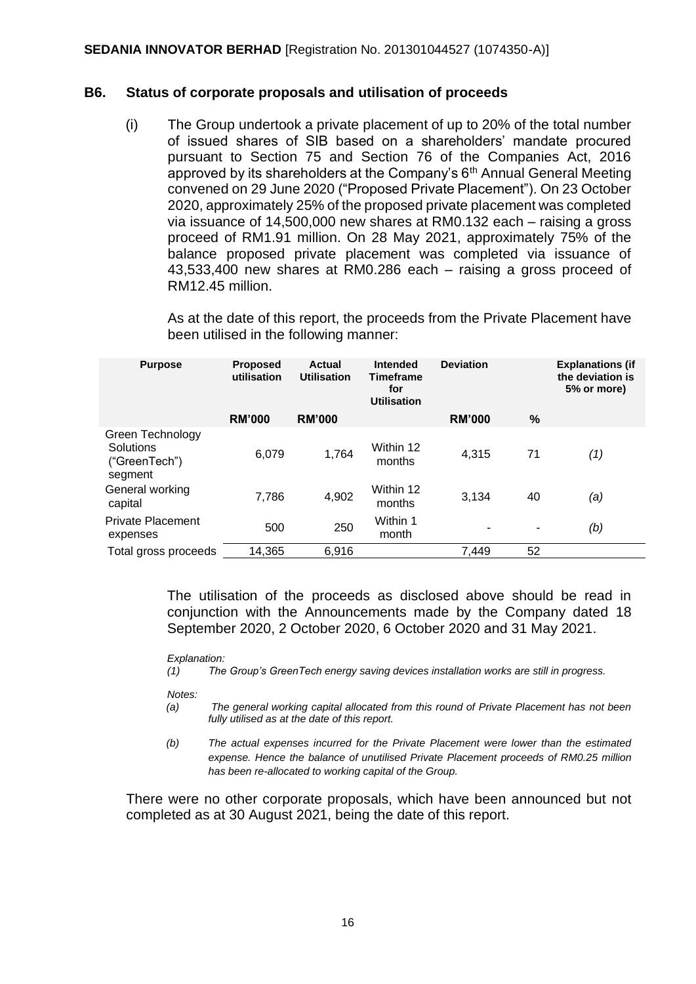#### **B6. Status of corporate proposals and utilisation of proceeds**

(i) The Group undertook a private placement of up to 20% of the total number of issued shares of SIB based on a shareholders' mandate procured pursuant to Section 75 and Section 76 of the Companies Act, 2016 approved by its shareholders at the Company's 6<sup>th</sup> Annual General Meeting convened on 29 June 2020 ("Proposed Private Placement"). On 23 October 2020, approximately 25% of the proposed private placement was completed via issuance of 14,500,000 new shares at RM0.132 each – raising a gross proceed of RM1.91 million. On 28 May 2021, approximately 75% of the balance proposed private placement was completed via issuance of 43,533,400 new shares at RM0.286 each – raising a gross proceed of RM12.45 million.

As at the date of this report, the proceeds from the Private Placement have been utilised in the following manner:

| <b>Purpose</b>                                            | <b>Proposed</b><br>utilisation | Actual<br><b>Utilisation</b> | Intended<br><b>Timeframe</b><br>for<br><b>Utilisation</b> | <b>Deviation</b> |    | <b>Explanations (if</b><br>the deviation is<br>5% or more) |
|-----------------------------------------------------------|--------------------------------|------------------------------|-----------------------------------------------------------|------------------|----|------------------------------------------------------------|
|                                                           | <b>RM'000</b>                  | <b>RM'000</b>                |                                                           | <b>RM'000</b>    | %  |                                                            |
| Green Technology<br>Solutions<br>("GreenTech")<br>segment | 6,079                          | 1,764                        | Within 12<br>months                                       | 4,315            | 71 | (1)                                                        |
| General working<br>capital                                | 7,786                          | 4,902                        | Within 12<br>months                                       | 3,134            | 40 | (a)                                                        |
| <b>Private Placement</b><br>expenses                      | 500                            | 250                          | Within 1<br>month                                         | ۰                | ۰  | (b)                                                        |
| Total gross proceeds                                      | 14,365                         | 6,916                        |                                                           | 7.449            | 52 |                                                            |

The utilisation of the proceeds as disclosed above should be read in conjunction with the Announcements made by the Company dated 18 September 2020, 2 October 2020, 6 October 2020 and 31 May 2021.

#### *Explanation:*

*(1) The Group's GreenTech energy saving devices installation works are still in progress.* 

*Notes:*

- *(a) The general working capital allocated from this round of Private Placement has not been fully utilised as at the date of this report.*
- *(b) The actual expenses incurred for the Private Placement were lower than the estimated expense. Hence the balance of unutilised Private Placement proceeds of RM0.25 million has been re-allocated to working capital of the Group.*

There were no other corporate proposals, which have been announced but not completed as at 30 August 2021, being the date of this report.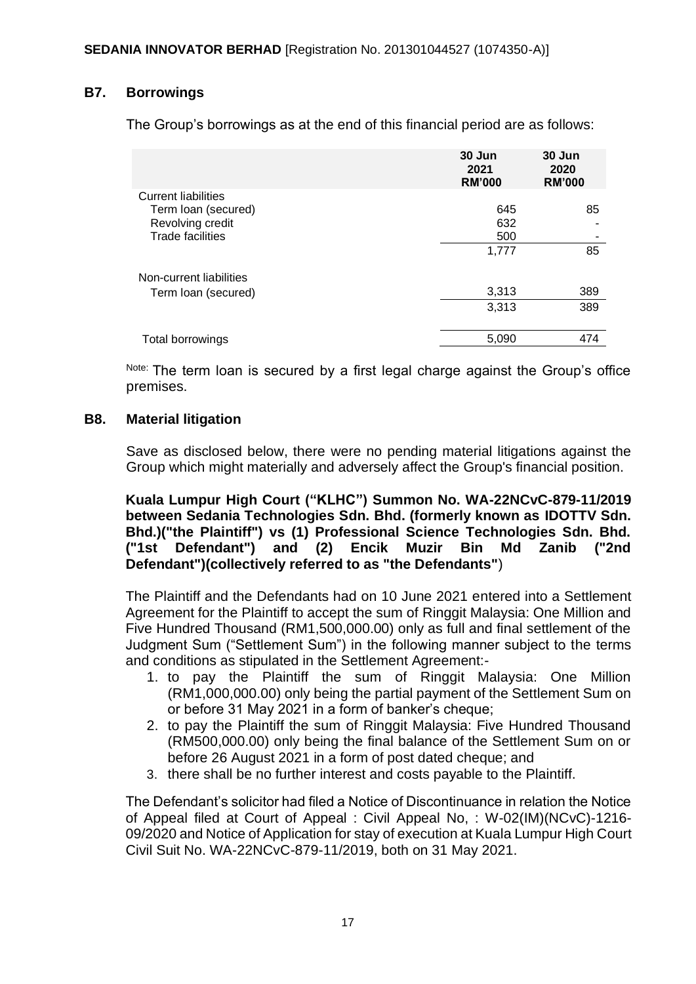# **B7. Borrowings**

The Group's borrowings as at the end of this financial period are as follows:

|                            | 30 Jun<br>2021<br><b>RM'000</b> | 30 Jun<br>2020<br><b>RM'000</b> |
|----------------------------|---------------------------------|---------------------------------|
| <b>Current liabilities</b> |                                 |                                 |
| Term Ioan (secured)        | 645                             | 85                              |
| Revolving credit           | 632                             |                                 |
| <b>Trade facilities</b>    | 500                             |                                 |
|                            | 1,777                           | 85                              |
| Non-current liabilities    |                                 |                                 |
| Term Ioan (secured)        | 3,313                           | 389                             |
|                            | 3,313                           | 389                             |
| Total borrowings           | 5,090                           | 474                             |

Note: The term loan is secured by a first legal charge against the Group's office premises.

#### **B8. Material litigation**

Save as disclosed below, there were no pending material litigations against the Group which might materially and adversely affect the Group's financial position.

**Kuala Lumpur High Court ("KLHC") Summon No. WA-22NCvC-879-11/2019 between Sedania Technologies Sdn. Bhd. (formerly known as IDOTTV Sdn. Bhd.)("the Plaintiff") vs (1) Professional Science Technologies Sdn. Bhd. ("1st Defendant") and (2) Encik Muzir Bin Md Zanib ("2nd Defendant")(collectively referred to as "the Defendants"**)

The Plaintiff and the Defendants had on 10 June 2021 entered into a Settlement Agreement for the Plaintiff to accept the sum of Ringgit Malaysia: One Million and Five Hundred Thousand (RM1,500,000.00) only as full and final settlement of the Judgment Sum ("Settlement Sum") in the following manner subject to the terms and conditions as stipulated in the Settlement Agreement:-

- 1. to pay the Plaintiff the sum of Ringgit Malaysia: One Million (RM1,000,000.00) only being the partial payment of the Settlement Sum on or before 31 May 2021 in a form of banker's cheque;
- 2. to pay the Plaintiff the sum of Ringgit Malaysia: Five Hundred Thousand (RM500,000.00) only being the final balance of the Settlement Sum on or before 26 August 2021 in a form of post dated cheque; and
- 3. there shall be no further interest and costs payable to the Plaintiff.

The Defendant's solicitor had filed a Notice of Discontinuance in relation the Notice of Appeal filed at Court of Appeal : Civil Appeal No, : W-02(IM)(NCvC)-1216- 09/2020 and Notice of Application for stay of execution at Kuala Lumpur High Court Civil Suit No. WA-22NCvC-879-11/2019, both on 31 May 2021.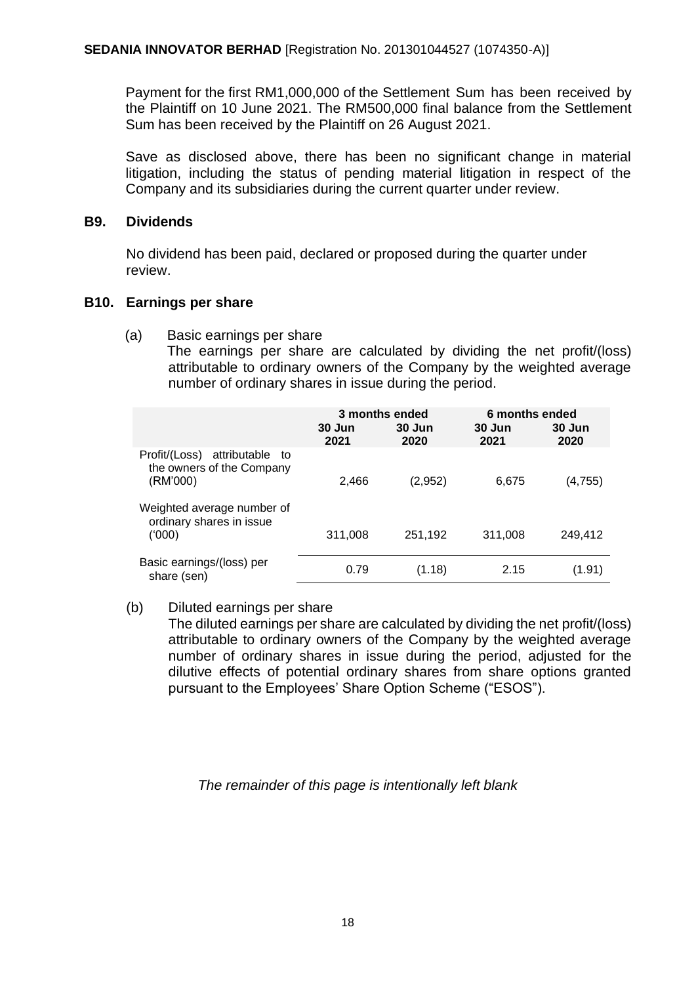Payment for the first RM1,000,000 of the Settlement Sum has been received by the Plaintiff on 10 June 2021. The RM500,000 final balance from the Settlement Sum has been received by the Plaintiff on 26 August 2021.

Save as disclosed above, there has been no significant change in material litigation, including the status of pending material litigation in respect of the Company and its subsidiaries during the current quarter under review.

#### **B9. Dividends**

No dividend has been paid, declared or proposed during the quarter under review.

# **B10. Earnings per share**

(a) Basic earnings per share

The earnings per share are calculated by dividing the net profit/(loss) attributable to ordinary owners of the Company by the weighted average number of ordinary shares in issue during the period.

|                                                                           | 3 months ended |                | 6 months ended |                |
|---------------------------------------------------------------------------|----------------|----------------|----------------|----------------|
|                                                                           | 30 Jun<br>2021 | 30 Jun<br>2020 | 30 Jun<br>2021 | 30 Jun<br>2020 |
| attributable to<br>Profit/(Loss)<br>the owners of the Company<br>(RM'000) | 2,466          | (2,952)        | 6,675          | (4,755)        |
| Weighted average number of<br>ordinary shares in issue<br>(000)           | 311,008        | 251,192        | 311,008        | 249,412        |
| Basic earnings/(loss) per<br>share (sen)                                  | 0.79           | (1.18)         | 2.15           | (1.91)         |

# (b) Diluted earnings per share

The diluted earnings per share are calculated by dividing the net profit/(loss) attributable to ordinary owners of the Company by the weighted average number of ordinary shares in issue during the period, adjusted for the dilutive effects of potential ordinary shares from share options granted pursuant to the Employees' Share Option Scheme ("ESOS").

# *The remainder of this page is intentionally left blank*